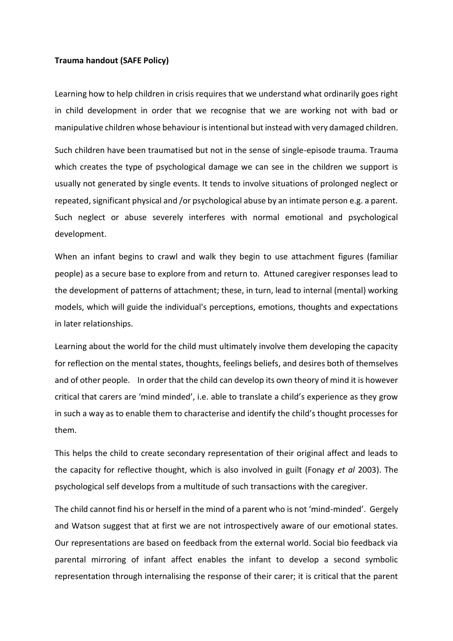## **Trauma handout (SAFE Policy)**

Learning how to help children in crisis requires that we understand what ordinarily goes right in child development in order that we recognise that we are working not with bad or manipulative children whose behaviour is intentional but instead with very damaged children.

Such children have been traumatised but not in the sense of single-episode trauma. Trauma which creates the type of psychological damage we can see in the children we support is usually not generated by single events. It tends to involve situations of prolonged neglect or repeated, significant physical and /or psychological abuse by an intimate person e.g. a parent. Such neglect or abuse severely interferes with normal emotional and psychological development.

When an infant begins to crawl and walk they begin to use attachment figures (familiar people) as a secure base to explore from and return to. Attuned caregiver responses lead to the development of patterns of attachment; these, in turn, lead to internal (mental) working models, which will guide the individual's perceptions, emotions, thoughts and expectations in later relationships.

Learning about the world for the child must ultimately involve them developing the capacity for reflection on the mental states, thoughts, feelings beliefs, and desires both of themselves and of other people. In order that the child can develop its own theory of mind it is however critical that carers are 'mind minded', i.e. able to translate a child's experience as they grow in such a way as to enable them to characterise and identify the child's thought processes for them.

This helps the child to create secondary representation of their original affect and leads to the capacity for reflective thought, which is also involved in guilt (Fonagy *et al* 2003). The psychological self develops from a multitude of such transactions with the caregiver.

The child cannot find his or herself in the mind of a parent who is not 'mind-minded'. Gergely and Watson suggest that at first we are not introspectively aware of our emotional states. Our representations are based on feedback from the external world. Social bio feedback via parental mirroring of infant affect enables the infant to develop a second symbolic representation through internalising the response of their carer; it is critical that the parent